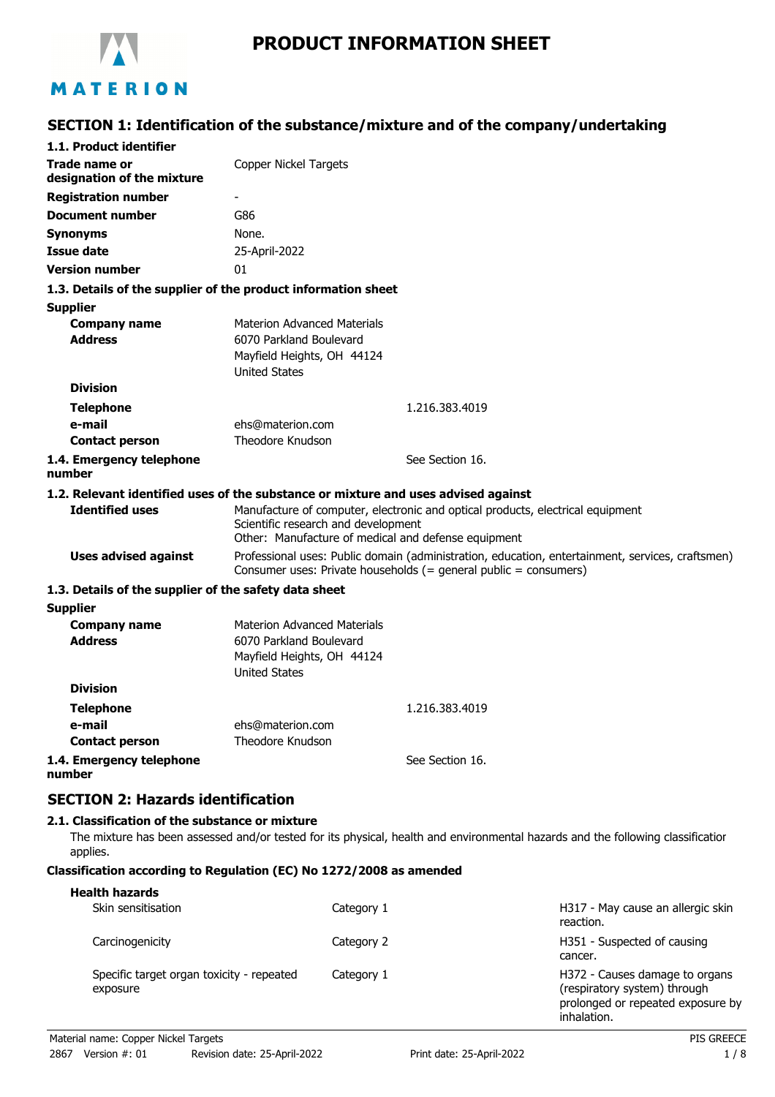

# **SECTION 1: Identification of the substance/mixture and of the company/undertaking**

| 1.1. Product identifier                               |                                                                                                                     |                                                                                                                                                                        |
|-------------------------------------------------------|---------------------------------------------------------------------------------------------------------------------|------------------------------------------------------------------------------------------------------------------------------------------------------------------------|
| <b>Trade name or</b><br>designation of the mixture    | <b>Copper Nickel Targets</b>                                                                                        |                                                                                                                                                                        |
| <b>Registration number</b>                            |                                                                                                                     |                                                                                                                                                                        |
| <b>Document number</b>                                | G86                                                                                                                 |                                                                                                                                                                        |
| <b>Synonyms</b>                                       | None.                                                                                                               |                                                                                                                                                                        |
| <b>Issue date</b>                                     | 25-April-2022                                                                                                       |                                                                                                                                                                        |
| <b>Version number</b>                                 | 01                                                                                                                  |                                                                                                                                                                        |
|                                                       | 1.3. Details of the supplier of the product information sheet                                                       |                                                                                                                                                                        |
| <b>Supplier</b>                                       |                                                                                                                     |                                                                                                                                                                        |
| <b>Company name</b><br><b>Address</b>                 | <b>Materion Advanced Materials</b><br>6070 Parkland Boulevard<br>Mayfield Heights, OH 44124<br><b>United States</b> |                                                                                                                                                                        |
| <b>Division</b>                                       |                                                                                                                     |                                                                                                                                                                        |
| <b>Telephone</b>                                      |                                                                                                                     | 1.216.383.4019                                                                                                                                                         |
| e-mail                                                | ehs@materion.com                                                                                                    |                                                                                                                                                                        |
| <b>Contact person</b>                                 | Theodore Knudson                                                                                                    |                                                                                                                                                                        |
| 1.4. Emergency telephone<br>number                    |                                                                                                                     | See Section 16.                                                                                                                                                        |
|                                                       | 1.2. Relevant identified uses of the substance or mixture and uses advised against                                  |                                                                                                                                                                        |
| <b>Identified uses</b>                                | Scientific research and development<br>Other: Manufacture of medical and defense equipment                          | Manufacture of computer, electronic and optical products, electrical equipment                                                                                         |
| <b>Uses advised against</b>                           |                                                                                                                     | Professional uses: Public domain (administration, education, entertainment, services, craftsmen)<br>Consumer uses: Private households $(=$ general public = consumers) |
| 1.3. Details of the supplier of the safety data sheet |                                                                                                                     |                                                                                                                                                                        |
| <b>Supplier</b>                                       |                                                                                                                     |                                                                                                                                                                        |
| <b>Company name</b>                                   | <b>Materion Advanced Materials</b>                                                                                  |                                                                                                                                                                        |
| <b>Address</b>                                        | 6070 Parkland Boulevard<br>Mayfield Heights, OH 44124<br><b>United States</b>                                       |                                                                                                                                                                        |
| <b>Division</b>                                       |                                                                                                                     |                                                                                                                                                                        |
| <b>Telephone</b>                                      |                                                                                                                     | 1.216.383.4019                                                                                                                                                         |
| e-mail                                                | ehs@materion.com                                                                                                    |                                                                                                                                                                        |
| <b>Contact person</b>                                 | <b>Theodore Knudson</b>                                                                                             |                                                                                                                                                                        |
| 1.4. Emergency telephone<br>number                    |                                                                                                                     | See Section 16.                                                                                                                                                        |
| <b>SECTION 2: Hazards identification</b>              |                                                                                                                     |                                                                                                                                                                        |
| 2.1. Classification of the substance or mixture       |                                                                                                                     |                                                                                                                                                                        |
|                                                       |                                                                                                                     |                                                                                                                                                                        |

The mixture has been assessed and/or tested for its physical, health and environmental hazards and the following classification applies.

## **Classification according to Regulation (EC) No 1272/2008 as amended**

| <b>Health hazards</b>                                 |            |                                                                                                                    |
|-------------------------------------------------------|------------|--------------------------------------------------------------------------------------------------------------------|
| Skin sensitisation                                    | Category 1 | H317 - May cause an allergic skin<br>reaction.                                                                     |
| Carcinogenicity                                       | Category 2 | H351 - Suspected of causing<br>cancer.                                                                             |
| Specific target organ toxicity - repeated<br>exposure | Category 1 | H372 - Causes damage to organs<br>(respiratory system) through<br>prolonged or repeated exposure by<br>inhalation. |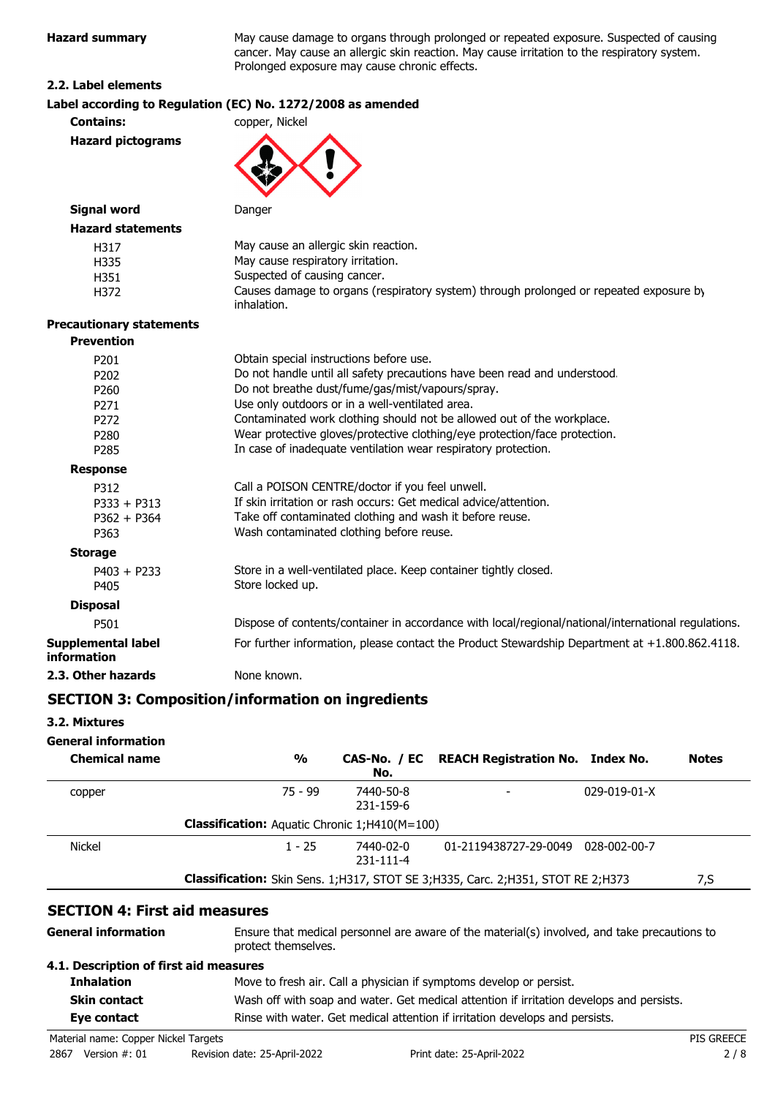**Hazard summary** May cause damage to organs through prolonged or repeated exposure. Suspected of causing ry system.

#### **2.2. Label elements**

| nazaru summary                    | May cause damage to organs through proionged or repeated exposure. Suspected or causing<br>cancer. May cause an allergic skin reaction. May cause irritation to the respiratory system.<br>Prolonged exposure may cause chronic effects. |
|-----------------------------------|------------------------------------------------------------------------------------------------------------------------------------------------------------------------------------------------------------------------------------------|
| 2.2. Label elements               |                                                                                                                                                                                                                                          |
|                                   | Label according to Regulation (EC) No. 1272/2008 as amended                                                                                                                                                                              |
| <b>Contains:</b>                  | copper, Nickel                                                                                                                                                                                                                           |
| <b>Hazard pictograms</b>          |                                                                                                                                                                                                                                          |
| <b>Signal word</b>                | Danger                                                                                                                                                                                                                                   |
| <b>Hazard statements</b>          |                                                                                                                                                                                                                                          |
| H317                              | May cause an allergic skin reaction.                                                                                                                                                                                                     |
| H335                              | May cause respiratory irritation.                                                                                                                                                                                                        |
| H351                              | Suspected of causing cancer.                                                                                                                                                                                                             |
| H372                              | Causes damage to organs (respiratory system) through prolonged or repeated exposure by<br>inhalation.                                                                                                                                    |
| <b>Precautionary statements</b>   |                                                                                                                                                                                                                                          |
| <b>Prevention</b>                 |                                                                                                                                                                                                                                          |
| P201                              | Obtain special instructions before use.                                                                                                                                                                                                  |
| P202                              | Do not handle until all safety precautions have been read and understood.                                                                                                                                                                |
| P260                              | Do not breathe dust/fume/gas/mist/vapours/spray.                                                                                                                                                                                         |
| P271                              | Use only outdoors or in a well-ventilated area.                                                                                                                                                                                          |
| P272                              | Contaminated work clothing should not be allowed out of the workplace.                                                                                                                                                                   |
| P <sub>280</sub>                  | Wear protective gloves/protective clothing/eye protection/face protection.                                                                                                                                                               |
| P285                              | In case of inadequate ventilation wear respiratory protection.                                                                                                                                                                           |
| <b>Response</b>                   |                                                                                                                                                                                                                                          |
| P312                              | Call a POISON CENTRE/doctor if you feel unwell.                                                                                                                                                                                          |
| $P333 + P313$                     | If skin irritation or rash occurs: Get medical advice/attention.                                                                                                                                                                         |
| $P362 + P364$                     | Take off contaminated clothing and wash it before reuse.                                                                                                                                                                                 |
| P363                              | Wash contaminated clothing before reuse.                                                                                                                                                                                                 |
| <b>Storage</b>                    |                                                                                                                                                                                                                                          |
| $P403 + P233$<br>P405             | Store in a well-ventilated place. Keep container tightly closed.<br>Store locked up.                                                                                                                                                     |
| <b>Disposal</b>                   |                                                                                                                                                                                                                                          |
| P501                              | Dispose of contents/container in accordance with local/regional/national/international regulations.                                                                                                                                      |
| Supplemental label<br>information | For further information, please contact the Product Stewardship Department at +1.800.862.4118.                                                                                                                                           |
| 2.3. Other hazards                | None known.                                                                                                                                                                                                                              |
|                                   | <b>SECTION 3: Composition/information on ingredients</b>                                                                                                                                                                                 |
|                                   |                                                                                                                                                                                                                                          |
| 3.2. Mixtures                     |                                                                                                                                                                                                                                          |
|                                   |                                                                                                                                                                                                                                          |

## **General information**

| <b>Chemical name</b> | $\frac{0}{0}$                                                                          | No.                    | CAS-No. / EC REACH Registration No. Index No. |                      | <b>Notes</b> |
|----------------------|----------------------------------------------------------------------------------------|------------------------|-----------------------------------------------|----------------------|--------------|
| copper               | $75 - 99$                                                                              | 7440-50-8<br>231-159-6 |                                               | $029 - 019 - 01 - X$ |              |
|                      | <b>Classification:</b> Aquatic Chronic 1;H410(M=100)                                   |                        |                                               |                      |              |
| <b>Nickel</b>        | $1 - 25$                                                                               | 7440-02-0<br>231-111-4 | 01-2119438727-29-0049                         | 028-002-00-7         |              |
|                      | <b>Classification:</b> Skin Sens. 1;H317, STOT SE 3;H335, Carc. 2;H351, STOT RE 2;H373 |                        |                                               |                      | 7,S          |

#### Ensure that medical personnel are aware of the material(s) involved, and take precautions to protect themselves. **General information 4.1. Description of first aid measures Inhalation** Move to fresh air. Call a physician if symptoms develop or persist. **Skin contact** Wash off with soap and water. Get medical attention if irritation develops and persists. **Eye contact** Rinse with water. Get medical attention if irritation develops and persists.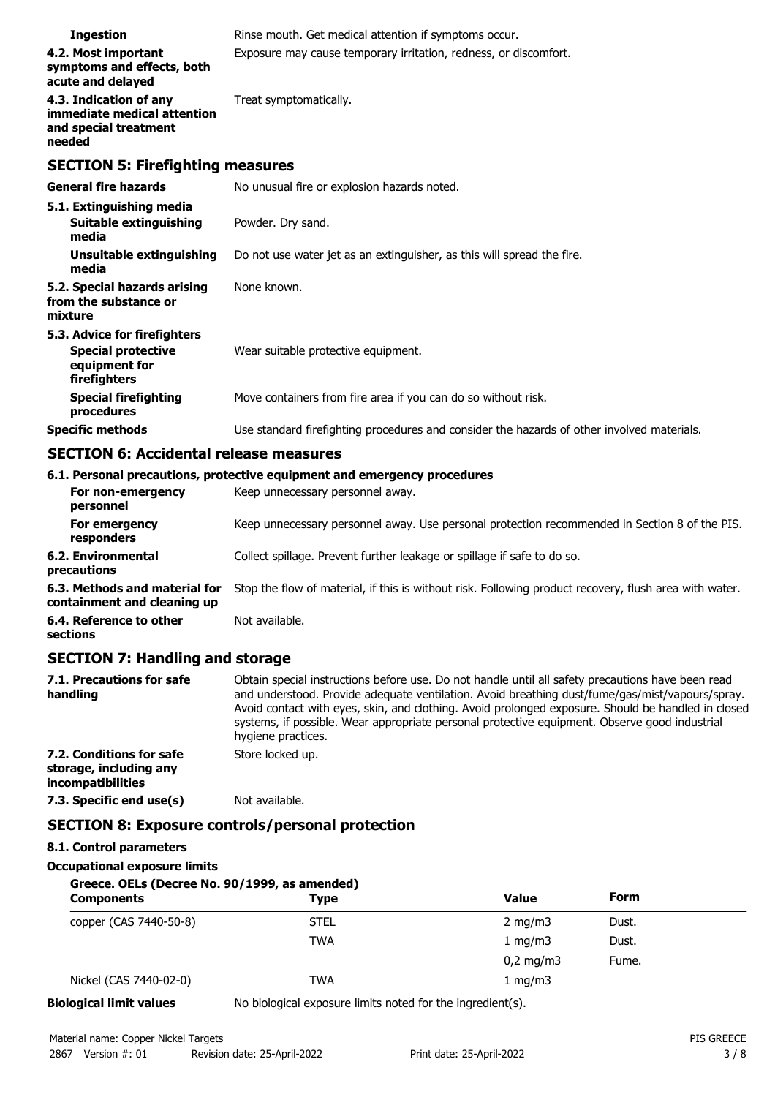| <b>Ingestion</b>                                                                         | Rinse mouth. Get medical attention if symptoms occur.                                      |
|------------------------------------------------------------------------------------------|--------------------------------------------------------------------------------------------|
| 4.2. Most important<br>symptoms and effects, both<br>acute and delayed                   | Exposure may cause temporary irritation, redness, or discomfort.                           |
| 4.3. Indication of any<br>immediate medical attention<br>and special treatment<br>needed | Treat symptomatically.                                                                     |
| <b>SECTION 5: Firefighting measures</b>                                                  |                                                                                            |
| <b>General fire hazards</b>                                                              | No unusual fire or explosion hazards noted.                                                |
| 5.1. Extinguishing media                                                                 |                                                                                            |
| <b>Suitable extinguishing</b><br>media                                                   | Powder. Dry sand.                                                                          |
| Unsuitable extinguishing<br>media                                                        | Do not use water jet as an extinguisher, as this will spread the fire.                     |
| 5.2. Special hazards arising<br>from the substance or<br>mixture                         | None known.                                                                                |
| 5.3. Advice for firefighters                                                             |                                                                                            |
| <b>Special protective</b><br>equipment for<br>firefighters                               | Wear suitable protective equipment.                                                        |
| <b>Special firefighting</b><br>procedures                                                | Move containers from fire area if you can do so without risk.                              |
| <b>Specific methods</b>                                                                  | Use standard firefighting procedures and consider the hazards of other involved materials. |

# **SECTION 6: Accidental release measures**

|                                                              | 6.1. Personal precautions, protective equipment and emergency procedures                               |
|--------------------------------------------------------------|--------------------------------------------------------------------------------------------------------|
| For non-emergency<br>personnel                               | Keep unnecessary personnel away.                                                                       |
| For emergency<br>responders                                  | Keep unnecessary personnel away. Use personal protection recommended in Section 8 of the PIS.          |
| 6.2. Environmental<br>precautions                            | Collect spillage. Prevent further leakage or spillage if safe to do so.                                |
| 6.3. Methods and material for<br>containment and cleaning up | Stop the flow of material, if this is without risk. Following product recovery, flush area with water. |
| 6.4. Reference to other<br>sections                          | Not available.                                                                                         |

## **SECTION 7: Handling and storage**

| 7.1. Precautions for safe<br>handling                                          | Obtain special instructions before use. Do not handle until all safety precautions have been read<br>and understood. Provide adequate ventilation. Avoid breathing dust/fume/gas/mist/vapours/spray.<br>Avoid contact with eyes, skin, and clothing. Avoid prolonged exposure. Should be handled in closed<br>systems, if possible. Wear appropriate personal protective equipment. Observe good industrial<br>hygiene practices. |
|--------------------------------------------------------------------------------|-----------------------------------------------------------------------------------------------------------------------------------------------------------------------------------------------------------------------------------------------------------------------------------------------------------------------------------------------------------------------------------------------------------------------------------|
| 7.2. Conditions for safe<br>storage, including any<br><i>incompatibilities</i> | Store locked up.                                                                                                                                                                                                                                                                                                                                                                                                                  |
| 7.3. Specific end use(s)                                                       | Not available.                                                                                                                                                                                                                                                                                                                                                                                                                    |
|                                                                                | <b>SECTION 8: Exposure controls/personal protection</b>                                                                                                                                                                                                                                                                                                                                                                           |

## **8.1. Control parameters**

#### **Occupational exposure limits**

## **Greece. OELs (Decree No. 90/1999, as amended)**

| <b>Components</b>      | <b>Type</b> | <b>Value</b>       | <b>Form</b> |  |
|------------------------|-------------|--------------------|-------------|--|
| copper (CAS 7440-50-8) | <b>STEL</b> | 2 mg/m $3$         | Dust.       |  |
|                        | <b>TWA</b>  | 1 mg/m $3$         | Dust.       |  |
|                        |             | $0,2 \text{ mg/m}$ | Fume.       |  |
| Nickel (CAS 7440-02-0) | <b>TWA</b>  | 1 mg/m $3$         |             |  |

**Biological limit values** No biological exposure limits noted for the ingredient(s).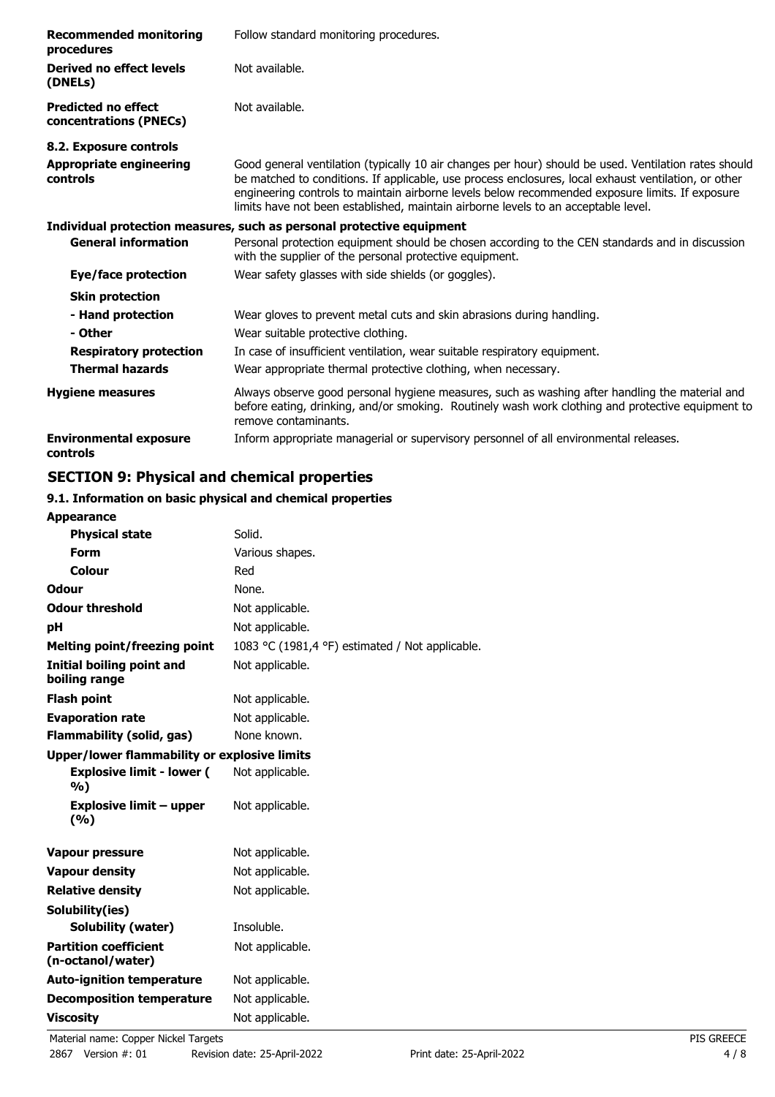| <b>Recommended monitoring</b><br>procedures          | Follow standard monitoring procedures.                                                                                                                                                                                                                                                                                                                                                                 |
|------------------------------------------------------|--------------------------------------------------------------------------------------------------------------------------------------------------------------------------------------------------------------------------------------------------------------------------------------------------------------------------------------------------------------------------------------------------------|
| Derived no effect levels<br>(DNELs)                  | Not available.                                                                                                                                                                                                                                                                                                                                                                                         |
| <b>Predicted no effect</b><br>concentrations (PNECs) | Not available.                                                                                                                                                                                                                                                                                                                                                                                         |
| 8.2. Exposure controls                               |                                                                                                                                                                                                                                                                                                                                                                                                        |
| <b>Appropriate engineering</b><br>controls           | Good general ventilation (typically 10 air changes per hour) should be used. Ventilation rates should<br>be matched to conditions. If applicable, use process enclosures, local exhaust ventilation, or other<br>engineering controls to maintain airborne levels below recommended exposure limits. If exposure<br>limits have not been established, maintain airborne levels to an acceptable level. |
|                                                      | Individual protection measures, such as personal protective equipment                                                                                                                                                                                                                                                                                                                                  |
| <b>General information</b>                           | Personal protection equipment should be chosen according to the CEN standards and in discussion<br>with the supplier of the personal protective equipment.                                                                                                                                                                                                                                             |
| Eye/face protection                                  | Wear safety glasses with side shields (or goggles).                                                                                                                                                                                                                                                                                                                                                    |
| <b>Skin protection</b>                               |                                                                                                                                                                                                                                                                                                                                                                                                        |
| - Hand protection<br>- Other                         | Wear gloves to prevent metal cuts and skin abrasions during handling.<br>Wear suitable protective clothing.                                                                                                                                                                                                                                                                                            |
| <b>Respiratory protection</b>                        | In case of insufficient ventilation, wear suitable respiratory equipment.                                                                                                                                                                                                                                                                                                                              |
| <b>Thermal hazards</b>                               | Wear appropriate thermal protective clothing, when necessary.                                                                                                                                                                                                                                                                                                                                          |
| <b>Hygiene measures</b>                              | Always observe good personal hygiene measures, such as washing after handling the material and<br>before eating, drinking, and/or smoking. Routinely wash work clothing and protective equipment to<br>remove contaminants.                                                                                                                                                                            |
| <b>Environmental exposure</b><br>controls            | Inform appropriate managerial or supervisory personnel of all environmental releases.                                                                                                                                                                                                                                                                                                                  |

# **SECTION 9: Physical and chemical properties**

## **9.1. Information on basic physical and chemical properties**

| <b>Appearance</b>                                   |                                                 |
|-----------------------------------------------------|-------------------------------------------------|
| <b>Physical state</b>                               | Solid.                                          |
| <b>Form</b>                                         | Various shapes.                                 |
| Colour                                              | Red                                             |
| <b>Odour</b>                                        | None.                                           |
| <b>Odour threshold</b>                              | Not applicable.                                 |
| рH                                                  | Not applicable.                                 |
| <b>Melting point/freezing point</b>                 | 1083 °C (1981,4 °F) estimated / Not applicable. |
| <b>Initial boiling point and</b><br>boiling range   | Not applicable.                                 |
| <b>Flash point</b>                                  | Not applicable.                                 |
| <b>Evaporation rate</b>                             | Not applicable.                                 |
| <b>Flammability (solid, gas)</b>                    | None known.                                     |
| <b>Upper/lower flammability or explosive limits</b> |                                                 |
| <b>Explosive limit - lower (</b><br>%)              | Not applicable.                                 |
| <b>Explosive limit - upper</b><br>(9/6)             | Not applicable.                                 |
| <b>Vapour pressure</b>                              | Not applicable.                                 |
| <b>Vapour density</b>                               | Not applicable.                                 |
| <b>Relative density</b>                             | Not applicable.                                 |
| Solubility(ies)                                     |                                                 |
| <b>Solubility (water)</b>                           | Insoluble.                                      |
| <b>Partition coefficient</b><br>(n-octanol/water)   | Not applicable.                                 |
| <b>Auto-ignition temperature</b>                    | Not applicable.                                 |
| <b>Decomposition temperature</b>                    | Not applicable.                                 |
| <b>Viscosity</b>                                    | Not applicable.                                 |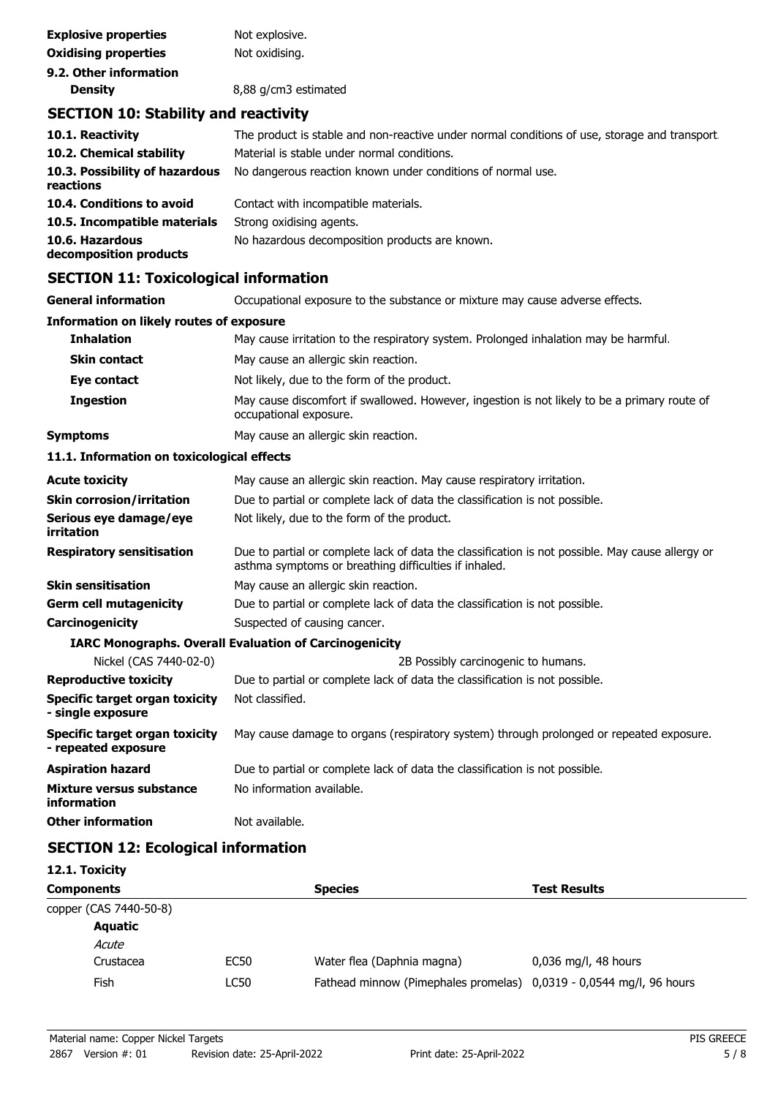| <b>Explosive properties</b> | Not explosive.       |
|-----------------------------|----------------------|
| <b>Oxidising properties</b> | Not oxidising.       |
| 9.2. Other information      |                      |
| <b>Density</b>              | 8,88 g/cm3 estimated |

# **SECTION 10: Stability and reactivity**

| 10.1. Reactivity<br>10.2. Chemical stability<br>10.3. Possibility of hazardous<br>reactions            | The product is stable and non-reactive under normal conditions of use, storage and transport.<br>Material is stable under normal conditions.<br>No dangerous reaction known under conditions of normal use. |
|--------------------------------------------------------------------------------------------------------|-------------------------------------------------------------------------------------------------------------------------------------------------------------------------------------------------------------|
| 10.4. Conditions to avoid<br>10.5. Incompatible materials<br>10.6. Hazardous<br>decomposition products | Contact with incompatible materials.<br>Strong oxidising agents.<br>No hazardous decomposition products are known.                                                                                          |

# **SECTION 11: Toxicological information**

| <b>General information</b>                                   | Occupational exposure to the substance or mixture may cause adverse effects.                                                                              |  |  |
|--------------------------------------------------------------|-----------------------------------------------------------------------------------------------------------------------------------------------------------|--|--|
| <b>Information on likely routes of exposure</b>              |                                                                                                                                                           |  |  |
| <b>Inhalation</b>                                            | May cause irritation to the respiratory system. Prolonged inhalation may be harmful.                                                                      |  |  |
| <b>Skin contact</b>                                          | May cause an allergic skin reaction.                                                                                                                      |  |  |
| Eye contact                                                  | Not likely, due to the form of the product.                                                                                                               |  |  |
| <b>Ingestion</b>                                             | May cause discomfort if swallowed. However, ingestion is not likely to be a primary route of<br>occupational exposure.                                    |  |  |
| <b>Symptoms</b>                                              | May cause an allergic skin reaction.                                                                                                                      |  |  |
| 11.1. Information on toxicological effects                   |                                                                                                                                                           |  |  |
| <b>Acute toxicity</b>                                        | May cause an allergic skin reaction. May cause respiratory irritation.                                                                                    |  |  |
| <b>Skin corrosion/irritation</b>                             | Due to partial or complete lack of data the classification is not possible.                                                                               |  |  |
| Serious eye damage/eye<br>irritation                         | Not likely, due to the form of the product.                                                                                                               |  |  |
| <b>Respiratory sensitisation</b>                             | Due to partial or complete lack of data the classification is not possible. May cause allergy or<br>asthma symptoms or breathing difficulties if inhaled. |  |  |
| <b>Skin sensitisation</b>                                    | May cause an allergic skin reaction.                                                                                                                      |  |  |
| <b>Germ cell mutagenicity</b>                                | Due to partial or complete lack of data the classification is not possible.                                                                               |  |  |
| Carcinogenicity                                              | Suspected of causing cancer.                                                                                                                              |  |  |
|                                                              | <b>IARC Monographs. Overall Evaluation of Carcinogenicity</b>                                                                                             |  |  |
| Nickel (CAS 7440-02-0)                                       | 2B Possibly carcinogenic to humans.                                                                                                                       |  |  |
| <b>Reproductive toxicity</b>                                 | Due to partial or complete lack of data the classification is not possible.                                                                               |  |  |
| <b>Specific target organ toxicity</b><br>- single exposure   | Not classified.                                                                                                                                           |  |  |
| <b>Specific target organ toxicity</b><br>- repeated exposure | May cause damage to organs (respiratory system) through prolonged or repeated exposure.                                                                   |  |  |
| <b>Aspiration hazard</b>                                     | Due to partial or complete lack of data the classification is not possible.                                                                               |  |  |
| <b>Mixture versus substance</b><br>information               | No information available.                                                                                                                                 |  |  |
| <b>Other information</b>                                     | Not available.                                                                                                                                            |  |  |

# **SECTION 12: Ecological information**

## **12.1. Toxicity**

| <b>Components</b> |                        |             | <b>Species</b>                                                      | <b>Test Results</b>    |
|-------------------|------------------------|-------------|---------------------------------------------------------------------|------------------------|
|                   | copper (CAS 7440-50-8) |             |                                                                     |                        |
|                   | Aquatic                |             |                                                                     |                        |
|                   | Acute                  |             |                                                                     |                        |
|                   | Crustacea              | <b>EC50</b> | Water flea (Daphnia magna)                                          | $0,036$ mg/l, 48 hours |
|                   | Fish                   | LC50        | Fathead minnow (Pimephales promelas) 0,0319 - 0,0544 mg/l, 96 hours |                        |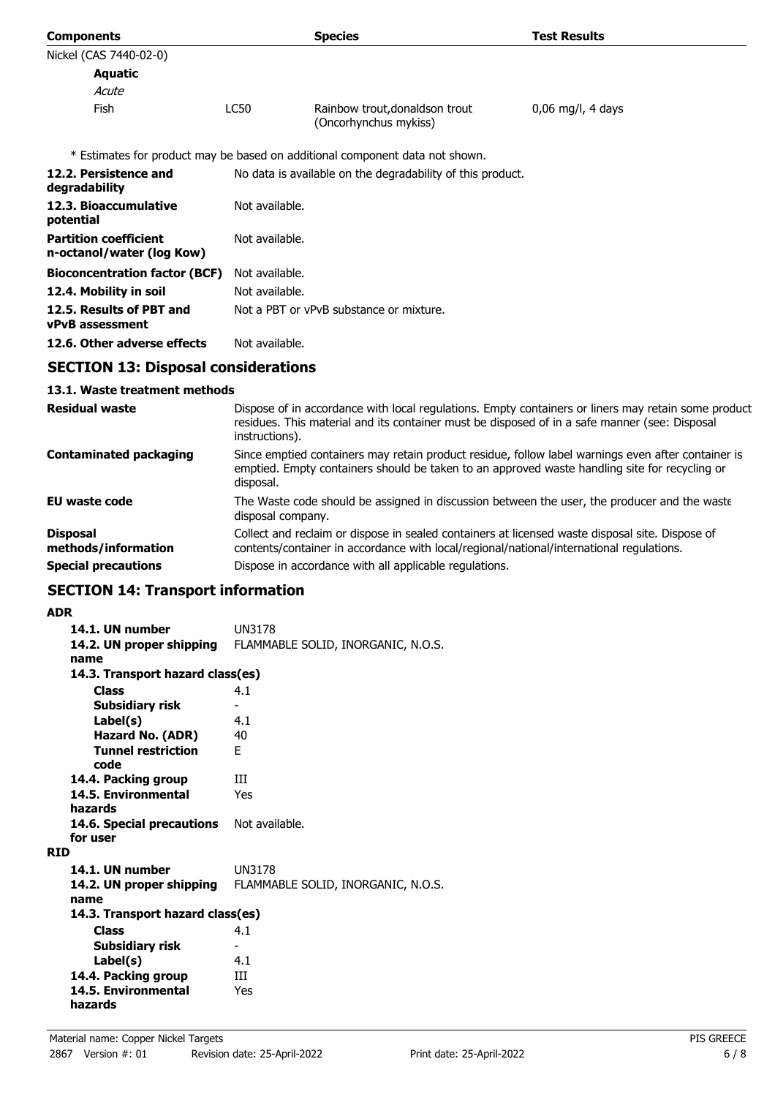| <b>Components</b>                                         |                                                            | <b>Species</b>                                                                                | <b>Test Results</b>                                                                                 |
|-----------------------------------------------------------|------------------------------------------------------------|-----------------------------------------------------------------------------------------------|-----------------------------------------------------------------------------------------------------|
| Nickel (CAS 7440-02-0)                                    |                                                            |                                                                                               |                                                                                                     |
| Aquatic                                                   |                                                            |                                                                                               |                                                                                                     |
| Acute                                                     |                                                            |                                                                                               |                                                                                                     |
| <b>Fish</b>                                               | <b>LC50</b>                                                | Rainbow trout, donaldson trout<br>(Oncorhynchus mykiss)                                       | $0.06$ mg/l, 4 days                                                                                 |
|                                                           |                                                            | * Estimates for product may be based on additional component data not shown.                  |                                                                                                     |
| 12.2. Persistence and<br>degradability                    | No data is available on the degradability of this product. |                                                                                               |                                                                                                     |
| 12.3. Bioaccumulative<br>potential                        | Not available.                                             |                                                                                               |                                                                                                     |
| <b>Partition coefficient</b><br>n-octanol/water (log Kow) | Not available.                                             |                                                                                               |                                                                                                     |
| <b>Bioconcentration factor (BCF)</b>                      | Not available.                                             |                                                                                               |                                                                                                     |
| 12.4. Mobility in soil                                    | Not available.                                             |                                                                                               |                                                                                                     |
| 12.5. Results of PBT and<br><b>vPvB</b> assessment        | Not a PBT or vPvB substance or mixture.                    |                                                                                               |                                                                                                     |
| 12.6. Other adverse effects                               | Not available.                                             |                                                                                               |                                                                                                     |
| <b>SECTION 13: Disposal considerations</b>                |                                                            |                                                                                               |                                                                                                     |
| 13.1. Waste treatment methods                             |                                                            |                                                                                               |                                                                                                     |
| <b>Residual waste</b>                                     |                                                            | residues. This material and its container must be disposed of in a safe manner (see: Disposal | Dispose of in accordance with local regulations. Empty containers or liners may retain some product |

|                                        | residues. This material and its container must be disposed of in a sare manner (see, Disposar<br>instructions).                                                                                                  |
|----------------------------------------|------------------------------------------------------------------------------------------------------------------------------------------------------------------------------------------------------------------|
| <b>Contaminated packaging</b>          | Since emptied containers may retain product residue, follow label warnings even after container is<br>emptied. Empty containers should be taken to an approved waste handling site for recycling or<br>disposal. |
| <b>EU waste code</b>                   | The Waste code should be assigned in discussion between the user, the producer and the waste<br>disposal company.                                                                                                |
| <b>Disposal</b><br>methods/information | Collect and reclaim or dispose in sealed containers at licensed waste disposal site. Dispose of<br>contents/container in accordance with local/regional/national/international regulations.                      |
| <b>Special precautions</b>             | Dispose in accordance with all applicable regulations.                                                                                                                                                           |

# **SECTION 14: Transport information**

## **ADR**

| AVR                              |                                    |
|----------------------------------|------------------------------------|
| 14.1. UN number                  | UN3178                             |
| 14.2. UN proper shipping         | FLAMMABLE SOLID, INORGANIC, N.O.S. |
| name                             |                                    |
| 14.3. Transport hazard class(es) |                                    |
| <b>Class</b>                     | 4.1                                |
| Subsidiary risk                  |                                    |
| Label(s)                         | 4.1                                |
| <b>Hazard No. (ADR)</b>          | 40                                 |
| <b>Tunnel restriction</b>        | F.                                 |
| code                             |                                    |
| 14.4. Packing group              | Ш                                  |
| 14.5. Environmental              | Yes                                |
| hazards                          |                                    |
| 14.6. Special precautions        | Not available.                     |
| for user                         |                                    |
| <b>RID</b>                       |                                    |
| 14.1. UN number                  | <b>UN3178</b>                      |
| 14.2. UN proper shipping         | FLAMMABLE SOLID, INORGANIC, N.O.S. |
| name                             |                                    |
| 14.3. Transport hazard class(es) |                                    |
| <b>Class</b>                     | 4.1                                |
| Subsidiary risk                  | ۰                                  |
| Label(s)                         | 4.1                                |
| 14.4. Packing group              | Ш                                  |
| 14.5. Environmental              | Yes                                |
| hazards                          |                                    |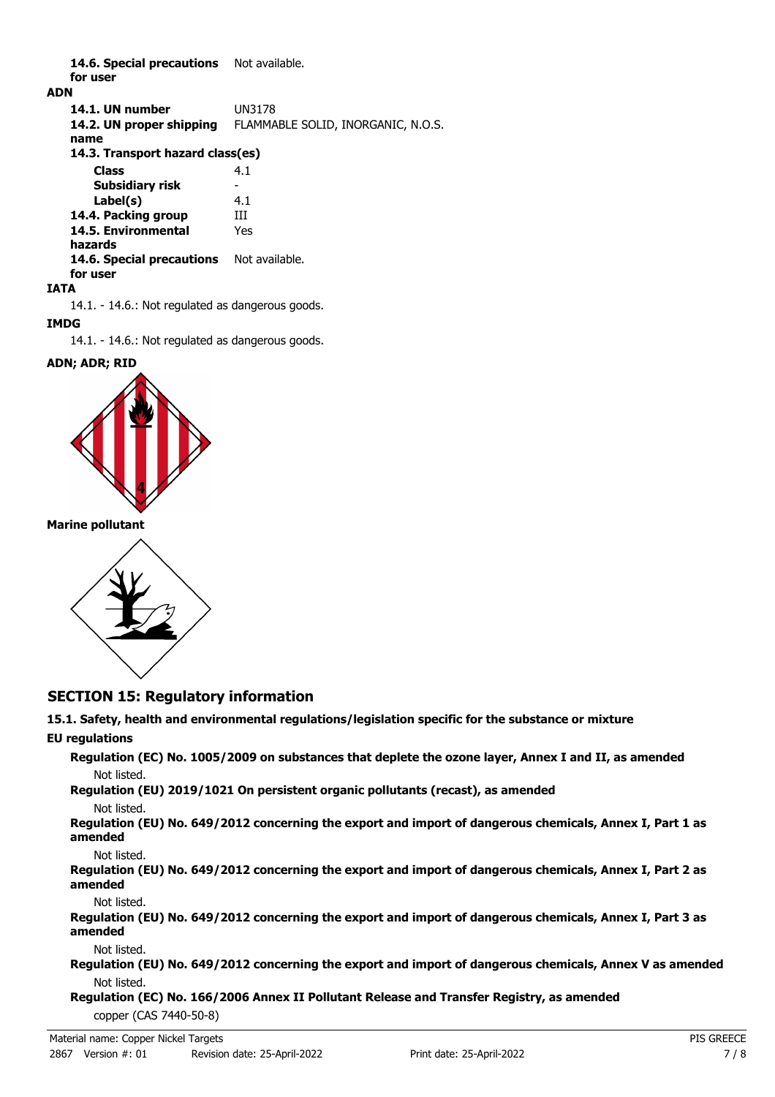14.6. Special precautions Not available. **for user**

## **ADN**

**14.1. UN number** UN3178 **14.2. UN proper shipping** FLAMMABLE SOLID, INORGANIC, N.O.S. **name Class** 4.1 **14.3. Transport hazard class(es) Subsidiary risk Label(s)** 4.1 **14.4. Packing group III 14.5. Environmental** Yes **hazards** 14.6. Special precautions Not available. **for user**

## **IATA**

14.1. - 14.6.: Not regulated as dangerous goods.

## **IMDG**

14.1. - 14.6.: Not regulated as dangerous goods.

## **ADN; ADR; RID**



## **Marine pollutant**



## **SECTION 15: Regulatory information**

# **15.1. Safety, health and environmental regulations/legislation specific for the substance or mixture**

## **EU regulations**

**Regulation (EC) No. 1005/2009 on substances that deplete the ozone layer, Annex I and II, as amended** Not listed.

# **Regulation (EU) 2019/1021 On persistent organic pollutants (recast), as amended**

Not listed.

**Regulation (EU) No. 649/2012 concerning the export and import of dangerous chemicals, Annex I, Part 1 as amended**

Not listed.

**Regulation (EU) No. 649/2012 concerning the export and import of dangerous chemicals, Annex I, Part 2 as amended**

Not listed.

**Regulation (EU) No. 649/2012 concerning the export and import of dangerous chemicals, Annex I, Part 3 as amended**

Not listed.

**Regulation (EU) No. 649/2012 concerning the export and import of dangerous chemicals, Annex V as amended** Not listed.

**Regulation (EC) No. 166/2006 Annex II Pollutant Release and Transfer Registry, as amended** copper (CAS 7440-50-8)